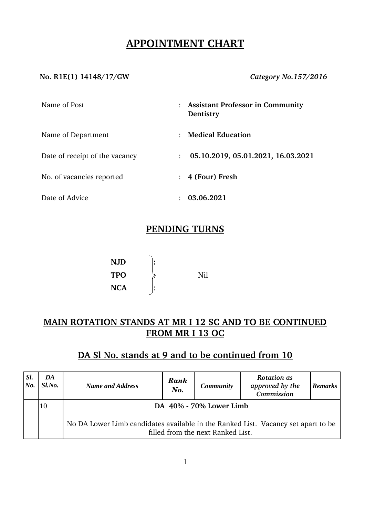# **APPOINTMENT CHART**

#### **No. R1E(1) 14148/17/GW** *Category No.157/2016*

| Name of Post                   | : Assistant Professor in Community<br>Dentistry      |  |
|--------------------------------|------------------------------------------------------|--|
| Name of Department             | <b>Medical Education</b>                             |  |
| Date of receipt of the vacancy | 05.10.2019, 05.01.2021, 16.03.2021<br>$\ddot{\cdot}$ |  |
| No. of vacancies reported      | 4 (Four) Fresh                                       |  |
| Date of Advice                 | 03.06.2021                                           |  |

## **PENDING TURNS**

| NJD | ٠      |     |
|-----|--------|-----|
| TPO |        | Nil |
| NCA | ٠<br>٠ |     |

## **MAIN ROTATION STANDS AT MR I 12 SC AND TO BE CONTINUED FROM MR I 13 OC**

# **DA Sl No. stands at 9 and to be continued from 10**

| SI.<br> No. | DA<br>Sl.No. | <b>Name and Address</b>                                                                                                | Rank<br>No. | <b>Community</b> | <b>Rotation</b> as<br>approved by the<br>Commission | <b>Remarks</b> |  |
|-------------|--------------|------------------------------------------------------------------------------------------------------------------------|-------------|------------------|-----------------------------------------------------|----------------|--|
|             | 10           | DA 40% - 70% Lower Limb                                                                                                |             |                  |                                                     |                |  |
|             |              | No DA Lower Limb candidates available in the Ranked List. Vacancy set apart to be<br>filled from the next Ranked List. |             |                  |                                                     |                |  |